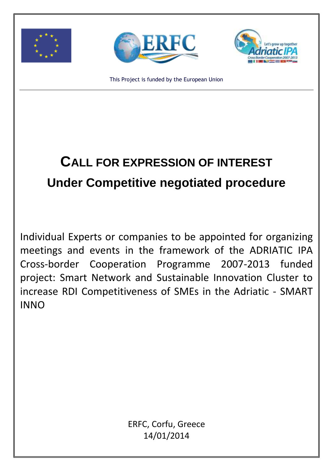





This Project is funded by the European Union

# **CALL FOR EXPRESSION OF INTEREST Under Competitive negotiated procedure**

Individual Experts or companies to be appointed for organizing meetings and events in the framework of the ADRIATIC IPA Cross-border Cooperation Programme 2007-2013 funded project: Smart Network and Sustainable Innovation Cluster to increase RDI Competitiveness of SMEs in the Adriatic - SMART INNO

> ERFC, Corfu, Greece 14/01/2014